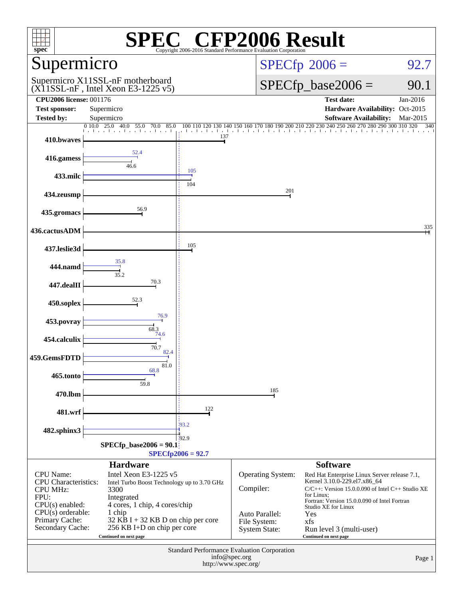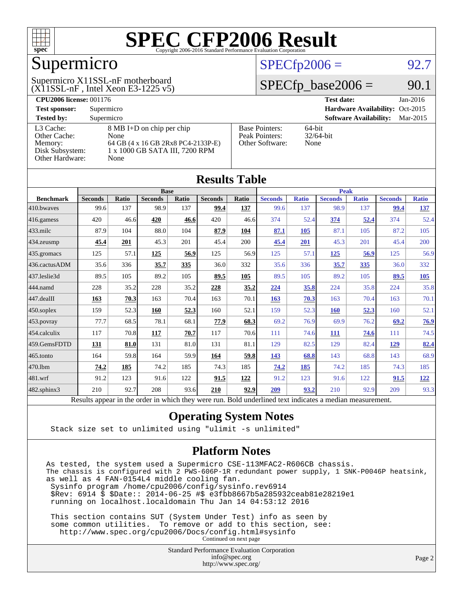

### Supermicro

#### (X11SSL-nF , Intel Xeon E3-1225 v5) Supermicro X11SSL-nF motherboard

#### $SPECfp2006 = 92.7$  $SPECfp2006 = 92.7$

#### $SPECTp\_base2006 = 90.1$

| <b>CPU2006 license: 001176</b> |                                    |                                 | <b>Test date:</b><br>$Jan-2016$           |  |  |  |  |
|--------------------------------|------------------------------------|---------------------------------|-------------------------------------------|--|--|--|--|
| <b>Test sponsor:</b>           | Supermicro                         | Hardware Availability: Oct-2015 |                                           |  |  |  |  |
| <b>Tested by:</b>              | Supermicro                         |                                 | <b>Software Availability:</b><br>Mar-2015 |  |  |  |  |
| L3 Cache:                      | 8 MB I+D on chip per chip          | <b>Base Pointers:</b>           | $64$ -bit                                 |  |  |  |  |
| Other Cache:                   | None                               | Peak Pointers:                  | $32/64$ -bit                              |  |  |  |  |
| Memory:                        | 64 GB (4 x 16 GB 2Rx8 PC4-2133P-E) | Other Software:                 | None                                      |  |  |  |  |
| Disk Subsystem:                | 1 x 1000 GB SATA III, 7200 RPM     |                                 |                                           |  |  |  |  |
| Other Hardware:                | None                               |                                 |                                           |  |  |  |  |

| <b>Results Table</b> |                                                                                                          |              |                |       |                |             |                |              |                |              |                |              |
|----------------------|----------------------------------------------------------------------------------------------------------|--------------|----------------|-------|----------------|-------------|----------------|--------------|----------------|--------------|----------------|--------------|
|                      | <b>Base</b>                                                                                              |              |                |       |                | <b>Peak</b> |                |              |                |              |                |              |
| <b>Benchmark</b>     | <b>Seconds</b>                                                                                           | <b>Ratio</b> | <b>Seconds</b> | Ratio | <b>Seconds</b> | Ratio       | <b>Seconds</b> | <b>Ratio</b> | <b>Seconds</b> | <b>Ratio</b> | <b>Seconds</b> | <b>Ratio</b> |
| 410.bwayes           | 99.6                                                                                                     | 137          | 98.9           | 137   | 99.4           | 137         | 99.6           | 137          | 98.9           | 137          | 99.4           | <u>137</u>   |
| 416.gamess           | 420                                                                                                      | 46.6         | 420            | 46.6  | 420            | 46.6        | 374            | 52.4         | 374            | 52.4         | 374            | 52.4         |
| $433$ .milc          | 87.9                                                                                                     | 104          | 88.0           | 104   | 87.9           | 104         | 87.1           | 105          | 87.1           | 105          | 87.2           | 105          |
| 434.zeusmp           | 45.4                                                                                                     | 201          | 45.3           | 201   | 45.4           | 200         | 45.4           | 201          | 45.3           | 201          | 45.4           | 200          |
| 435.gromacs          | 125                                                                                                      | 57.1         | 125            | 56.9  | 125            | 56.9        | 125            | 57.1         | 125            | 56.9         | 125            | 56.9         |
| 436.cactusADM        | 35.6                                                                                                     | 336          | 35.7           | 335   | 36.0           | 332         | 35.6           | 336          | 35.7           | 335          | 36.0           | 332          |
| 437.leslie3d         | 89.5                                                                                                     | 105          | 89.2           | 105   | 89.5           | 105         | 89.5           | 105          | 89.2           | 105          | 89.5           | 105          |
| 444.namd             | 228                                                                                                      | 35.2         | 228            | 35.2  | 228            | 35.2        | 224            | 35.8         | 224            | 35.8         | 224            | 35.8         |
| 447.dealII           | 163                                                                                                      | 70.3         | 163            | 70.4  | 163            | 70.1        | 163            | 70.3         | 163            | 70.4         | 163            | 70.1         |
| $450$ .soplex        | 159                                                                                                      | 52.3         | 160            | 52.3  | 160            | 52.1        | 159            | 52.3         | 160            | 52.3         | 160            | 52.1         |
| 453.povray           | 77.7                                                                                                     | 68.5         | 78.1           | 68.1  | 77.9           | 68.3        | 69.2           | 76.9         | 69.9           | 76.2         | 69.2           | 76.9         |
| 454.calculix         | 117                                                                                                      | 70.8         | 117            | 70.7  | 117            | 70.6        | 111            | 74.6         | 111            | 74.6         | 111            | 74.5         |
| 459.GemsFDTD         | 131                                                                                                      | 81.0         | 131            | 81.0  | 131            | 81.1        | 129            | 82.5         | 129            | 82.4         | 129            | 82.4         |
| 465.tonto            | 164                                                                                                      | 59.8         | 164            | 59.9  | 164            | 59.8        | 143            | 68.8         | 143            | 68.8         | 143            | 68.9         |
| 470.1bm              | 74.2                                                                                                     | 185          | 74.2           | 185   | 74.3           | 185         | 74.2           | 185          | 74.2           | 185          | 74.3           | 185          |
| 481.wrf              | 91.2                                                                                                     | 123          | 91.6           | 122   | 91.5           | 122         | 91.2           | 123          | 91.6           | 122          | 91.5           | <u>122</u>   |
| $482$ .sphinx $3$    | 210                                                                                                      | 92.7         | 208            | 93.6  | 210            | 92.9        | 209            | 93.2         | 210            | 92.9         | 209            | 93.3         |
|                      | Results appear in the order in which they were run. Bold underlined text indicates a median measurement. |              |                |       |                |             |                |              |                |              |                |              |

#### **[Operating System Notes](http://www.spec.org/auto/cpu2006/Docs/result-fields.html#OperatingSystemNotes)**

Stack size set to unlimited using "ulimit -s unlimited"

#### **[Platform Notes](http://www.spec.org/auto/cpu2006/Docs/result-fields.html#PlatformNotes)**

As tested, the system used a Supermicro CSE-113MFAC2-R606CB chassis. The chassis is configured with 2 PWS-606P-1R redundant power supply, 1 SNK-P0046P heatsink, as well as 4 FAN-0154L4 middle cooling fan. Sysinfo program /home/cpu2006/config/sysinfo.rev6914 \$Rev: 6914 \$ \$Date:: 2014-06-25 #\$ e3fbb8667b5a285932ceab81e28219e1 running on localhost.localdomain Thu Jan 14 04:53:12 2016 This section contains SUT (System Under Test) info as seen by

 some common utilities. To remove or add to this section, see: <http://www.spec.org/cpu2006/Docs/config.html#sysinfo> Continued on next page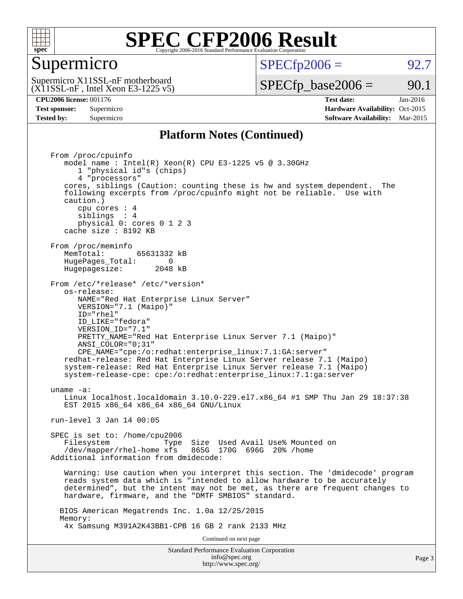

#### Supermicro

 $SPECTp2006 = 92.7$ 

 $(X11SSL-nF,$  Intel Xeon E3-1225 v5) Supermicro X11SSL-nF motherboard

 $SPECTp\_base2006 = 90.1$ 

**[CPU2006 license:](http://www.spec.org/auto/cpu2006/Docs/result-fields.html#CPU2006license)** 001176 **[Test date:](http://www.spec.org/auto/cpu2006/Docs/result-fields.html#Testdate)** Jan-2016 **[Test sponsor:](http://www.spec.org/auto/cpu2006/Docs/result-fields.html#Testsponsor)** Supermicro Supermicro **[Hardware Availability:](http://www.spec.org/auto/cpu2006/Docs/result-fields.html#HardwareAvailability)** Oct-2015 **[Tested by:](http://www.spec.org/auto/cpu2006/Docs/result-fields.html#Testedby)** Supermicro **Supermicro [Software Availability:](http://www.spec.org/auto/cpu2006/Docs/result-fields.html#SoftwareAvailability)** Mar-2015

#### **[Platform Notes \(Continued\)](http://www.spec.org/auto/cpu2006/Docs/result-fields.html#PlatformNotes)**

Standard Performance Evaluation Corporation [info@spec.org](mailto:info@spec.org) Page 3 From /proc/cpuinfo model name : Intel(R) Xeon(R) CPU E3-1225 v5 @ 3.30GHz 1 "physical id"s (chips) 4 "processors" cores, siblings (Caution: counting these is hw and system dependent. The following excerpts from /proc/cpuinfo might not be reliable. Use with caution.) cpu cores : 4 siblings : 4 physical 0: cores 0 1 2 3 cache size : 8192 KB From /proc/meminfo<br>MemTotal: 65631332 kB HugePages\_Total: 0<br>Hugepagesize: 2048 kB Hugepagesize: From /etc/\*release\* /etc/\*version\* os-release: NAME="Red Hat Enterprise Linux Server" VERSION="7.1 (Maipo)" ID="rhel" ID\_LIKE="fedora" VERSION\_ID="7.1" PRETTY\_NAME="Red Hat Enterprise Linux Server 7.1 (Maipo)" ANSI\_COLOR="0;31" CPE\_NAME="cpe:/o:redhat:enterprise\_linux:7.1:GA:server" redhat-release: Red Hat Enterprise Linux Server release 7.1 (Maipo) system-release: Red Hat Enterprise Linux Server release 7.1 (Maipo) system-release-cpe: cpe:/o:redhat:enterprise\_linux:7.1:ga:server uname -a: Linux localhost.localdomain 3.10.0-229.el7.x86\_64 #1 SMP Thu Jan 29 18:37:38 EST 2015 x86 64 x86 64 x86 64 GNU/Linux run-level 3 Jan 14 00:05 SPEC is set to: /home/cpu2006 Filesystem Type Size Used Avail Use% Mounted on /dev/mapper/rhel-home xfs 865G 170G 696G 20% /home Additional information from dmidecode: Warning: Use caution when you interpret this section. The 'dmidecode' program reads system data which is "intended to allow hardware to be accurately determined", but the intent may not be met, as there are frequent changes to hardware, firmware, and the "DMTF SMBIOS" standard. BIOS American Megatrends Inc. 1.0a 12/25/2015 Memory: 4x Samsung M391A2K43BB1-CPB 16 GB 2 rank 2133 MHz Continued on next page

<http://www.spec.org/>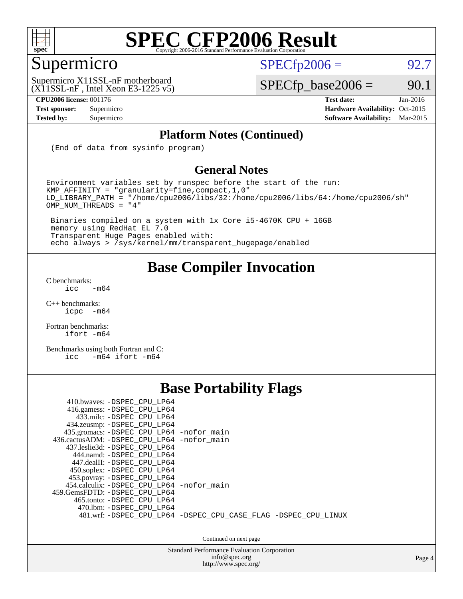

### Supermicro

 $SPECTp2006 = 92.7$ 

(X11SSL-nF , Intel Xeon E3-1225 v5) Supermicro X11SSL-nF motherboard

**[CPU2006 license:](http://www.spec.org/auto/cpu2006/Docs/result-fields.html#CPU2006license)** 001176 **[Test date:](http://www.spec.org/auto/cpu2006/Docs/result-fields.html#Testdate)** Jan-2016

 $SPECTp\_base2006 = 90.1$ 

**[Test sponsor:](http://www.spec.org/auto/cpu2006/Docs/result-fields.html#Testsponsor)** Supermicro Supermicro **[Hardware Availability:](http://www.spec.org/auto/cpu2006/Docs/result-fields.html#HardwareAvailability)** Oct-2015 **[Tested by:](http://www.spec.org/auto/cpu2006/Docs/result-fields.html#Testedby)** Supermicro **Supermicro [Software Availability:](http://www.spec.org/auto/cpu2006/Docs/result-fields.html#SoftwareAvailability)** Mar-2015

#### **[Platform Notes \(Continued\)](http://www.spec.org/auto/cpu2006/Docs/result-fields.html#PlatformNotes)**

(End of data from sysinfo program)

#### **[General Notes](http://www.spec.org/auto/cpu2006/Docs/result-fields.html#GeneralNotes)**

Environment variables set by runspec before the start of the run: KMP\_AFFINITY = "granularity=fine,compact,1,0" LD\_LIBRARY\_PATH = "/home/cpu2006/libs/32:/home/cpu2006/libs/64:/home/cpu2006/sh" OMP\_NUM\_THREADS = "4"

 Binaries compiled on a system with 1x Core i5-4670K CPU + 16GB memory using RedHat EL 7.0 Transparent Huge Pages enabled with: echo always > /sys/kernel/mm/transparent\_hugepage/enabled

#### **[Base Compiler Invocation](http://www.spec.org/auto/cpu2006/Docs/result-fields.html#BaseCompilerInvocation)**

[C benchmarks](http://www.spec.org/auto/cpu2006/Docs/result-fields.html#Cbenchmarks):  $\text{icc}$  -m64

 $C++$  benchmarks:<br>icpc  $-m$ -m64

[Fortran benchmarks](http://www.spec.org/auto/cpu2006/Docs/result-fields.html#Fortranbenchmarks): [ifort -m64](http://www.spec.org/cpu2006/results/res2016q1/cpu2006-20160120-38723.flags.html#user_FCbase_intel_ifort_64bit_ee9d0fb25645d0210d97eb0527dcc06e)

[Benchmarks using both Fortran and C](http://www.spec.org/auto/cpu2006/Docs/result-fields.html#BenchmarksusingbothFortranandC): [icc -m64](http://www.spec.org/cpu2006/results/res2016q1/cpu2006-20160120-38723.flags.html#user_CC_FCbase_intel_icc_64bit_0b7121f5ab7cfabee23d88897260401c) [ifort -m64](http://www.spec.org/cpu2006/results/res2016q1/cpu2006-20160120-38723.flags.html#user_CC_FCbase_intel_ifort_64bit_ee9d0fb25645d0210d97eb0527dcc06e)

#### **[Base Portability Flags](http://www.spec.org/auto/cpu2006/Docs/result-fields.html#BasePortabilityFlags)**

| 410.bwaves: -DSPEC CPU LP64<br>416.gamess: -DSPEC_CPU_LP64<br>433.milc: -DSPEC CPU LP64<br>434.zeusmp: -DSPEC_CPU_LP64<br>435.gromacs: -DSPEC_CPU_LP64 -nofor_main<br>436.cactusADM: -DSPEC CPU LP64 -nofor main<br>437.leslie3d: -DSPEC CPU LP64<br>444.namd: - DSPEC_CPU_LP64 |                                                                |
|---------------------------------------------------------------------------------------------------------------------------------------------------------------------------------------------------------------------------------------------------------------------------------|----------------------------------------------------------------|
| 447.dealII: -DSPEC CPU LP64<br>450.soplex: -DSPEC_CPU_LP64<br>453.povray: -DSPEC_CPU_LP64<br>454.calculix: -DSPEC CPU LP64 -nofor main<br>459.GemsFDTD: -DSPEC CPU LP64<br>465.tonto: -DSPEC CPU LP64<br>470.1bm: - DSPEC CPU LP64                                              | 481.wrf: -DSPEC_CPU_LP64 -DSPEC_CPU_CASE_FLAG -DSPEC_CPU_LINUX |

Continued on next page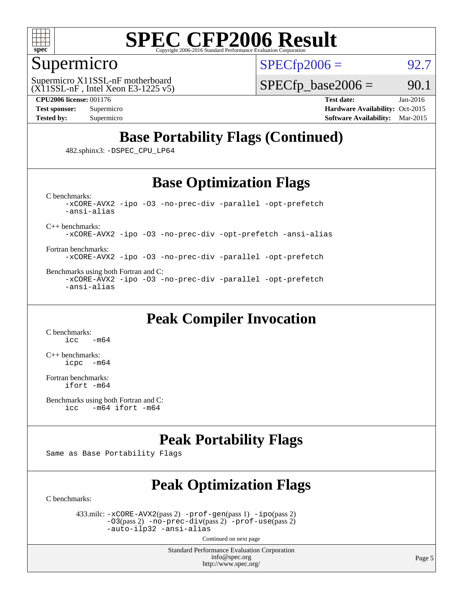

#### Supermicro

 $SPECTp2006 = 92.7$ 

 $(X11SSL-nF,$  Intel Xeon E3-1225 v5) Supermicro X11SSL-nF motherboard

 $SPECTp\_base2006 = 90.1$ 

**[CPU2006 license:](http://www.spec.org/auto/cpu2006/Docs/result-fields.html#CPU2006license)** 001176 **[Test date:](http://www.spec.org/auto/cpu2006/Docs/result-fields.html#Testdate)** Jan-2016 **[Test sponsor:](http://www.spec.org/auto/cpu2006/Docs/result-fields.html#Testsponsor)** Supermicro Supermicro **[Hardware Availability:](http://www.spec.org/auto/cpu2006/Docs/result-fields.html#HardwareAvailability)** Oct-2015 **[Tested by:](http://www.spec.org/auto/cpu2006/Docs/result-fields.html#Testedby)** Supermicro **[Software Availability:](http://www.spec.org/auto/cpu2006/Docs/result-fields.html#SoftwareAvailability)** Mar-2015

#### **[Base Portability Flags \(Continued\)](http://www.spec.org/auto/cpu2006/Docs/result-fields.html#BasePortabilityFlags)**

482.sphinx3: [-DSPEC\\_CPU\\_LP64](http://www.spec.org/cpu2006/results/res2016q1/cpu2006-20160120-38723.flags.html#suite_basePORTABILITY482_sphinx3_DSPEC_CPU_LP64)

#### **[Base Optimization Flags](http://www.spec.org/auto/cpu2006/Docs/result-fields.html#BaseOptimizationFlags)**

[C benchmarks](http://www.spec.org/auto/cpu2006/Docs/result-fields.html#Cbenchmarks): [-xCORE-AVX2](http://www.spec.org/cpu2006/results/res2016q1/cpu2006-20160120-38723.flags.html#user_CCbase_f-xAVX2_5f5fc0cbe2c9f62c816d3e45806c70d7) [-ipo](http://www.spec.org/cpu2006/results/res2016q1/cpu2006-20160120-38723.flags.html#user_CCbase_f-ipo) [-O3](http://www.spec.org/cpu2006/results/res2016q1/cpu2006-20160120-38723.flags.html#user_CCbase_f-O3) [-no-prec-div](http://www.spec.org/cpu2006/results/res2016q1/cpu2006-20160120-38723.flags.html#user_CCbase_f-no-prec-div) [-parallel](http://www.spec.org/cpu2006/results/res2016q1/cpu2006-20160120-38723.flags.html#user_CCbase_f-parallel) [-opt-prefetch](http://www.spec.org/cpu2006/results/res2016q1/cpu2006-20160120-38723.flags.html#user_CCbase_f-opt-prefetch) [-ansi-alias](http://www.spec.org/cpu2006/results/res2016q1/cpu2006-20160120-38723.flags.html#user_CCbase_f-ansi-alias)

[C++ benchmarks:](http://www.spec.org/auto/cpu2006/Docs/result-fields.html#CXXbenchmarks)

[-xCORE-AVX2](http://www.spec.org/cpu2006/results/res2016q1/cpu2006-20160120-38723.flags.html#user_CXXbase_f-xAVX2_5f5fc0cbe2c9f62c816d3e45806c70d7) [-ipo](http://www.spec.org/cpu2006/results/res2016q1/cpu2006-20160120-38723.flags.html#user_CXXbase_f-ipo) [-O3](http://www.spec.org/cpu2006/results/res2016q1/cpu2006-20160120-38723.flags.html#user_CXXbase_f-O3) [-no-prec-div](http://www.spec.org/cpu2006/results/res2016q1/cpu2006-20160120-38723.flags.html#user_CXXbase_f-no-prec-div) [-opt-prefetch](http://www.spec.org/cpu2006/results/res2016q1/cpu2006-20160120-38723.flags.html#user_CXXbase_f-opt-prefetch) [-ansi-alias](http://www.spec.org/cpu2006/results/res2016q1/cpu2006-20160120-38723.flags.html#user_CXXbase_f-ansi-alias)

[Fortran benchmarks](http://www.spec.org/auto/cpu2006/Docs/result-fields.html#Fortranbenchmarks): [-xCORE-AVX2](http://www.spec.org/cpu2006/results/res2016q1/cpu2006-20160120-38723.flags.html#user_FCbase_f-xAVX2_5f5fc0cbe2c9f62c816d3e45806c70d7) [-ipo](http://www.spec.org/cpu2006/results/res2016q1/cpu2006-20160120-38723.flags.html#user_FCbase_f-ipo) [-O3](http://www.spec.org/cpu2006/results/res2016q1/cpu2006-20160120-38723.flags.html#user_FCbase_f-O3) [-no-prec-div](http://www.spec.org/cpu2006/results/res2016q1/cpu2006-20160120-38723.flags.html#user_FCbase_f-no-prec-div) [-parallel](http://www.spec.org/cpu2006/results/res2016q1/cpu2006-20160120-38723.flags.html#user_FCbase_f-parallel) [-opt-prefetch](http://www.spec.org/cpu2006/results/res2016q1/cpu2006-20160120-38723.flags.html#user_FCbase_f-opt-prefetch)

[Benchmarks using both Fortran and C](http://www.spec.org/auto/cpu2006/Docs/result-fields.html#BenchmarksusingbothFortranandC): [-xCORE-AVX2](http://www.spec.org/cpu2006/results/res2016q1/cpu2006-20160120-38723.flags.html#user_CC_FCbase_f-xAVX2_5f5fc0cbe2c9f62c816d3e45806c70d7) [-ipo](http://www.spec.org/cpu2006/results/res2016q1/cpu2006-20160120-38723.flags.html#user_CC_FCbase_f-ipo) [-O3](http://www.spec.org/cpu2006/results/res2016q1/cpu2006-20160120-38723.flags.html#user_CC_FCbase_f-O3) [-no-prec-div](http://www.spec.org/cpu2006/results/res2016q1/cpu2006-20160120-38723.flags.html#user_CC_FCbase_f-no-prec-div) [-parallel](http://www.spec.org/cpu2006/results/res2016q1/cpu2006-20160120-38723.flags.html#user_CC_FCbase_f-parallel) [-opt-prefetch](http://www.spec.org/cpu2006/results/res2016q1/cpu2006-20160120-38723.flags.html#user_CC_FCbase_f-opt-prefetch) [-ansi-alias](http://www.spec.org/cpu2006/results/res2016q1/cpu2006-20160120-38723.flags.html#user_CC_FCbase_f-ansi-alias)

#### **[Peak Compiler Invocation](http://www.spec.org/auto/cpu2006/Docs/result-fields.html#PeakCompilerInvocation)**

[C benchmarks](http://www.spec.org/auto/cpu2006/Docs/result-fields.html#Cbenchmarks):  $-m64$ 

[C++ benchmarks:](http://www.spec.org/auto/cpu2006/Docs/result-fields.html#CXXbenchmarks) [icpc -m64](http://www.spec.org/cpu2006/results/res2016q1/cpu2006-20160120-38723.flags.html#user_CXXpeak_intel_icpc_64bit_bedb90c1146cab66620883ef4f41a67e)

[Fortran benchmarks](http://www.spec.org/auto/cpu2006/Docs/result-fields.html#Fortranbenchmarks): [ifort -m64](http://www.spec.org/cpu2006/results/res2016q1/cpu2006-20160120-38723.flags.html#user_FCpeak_intel_ifort_64bit_ee9d0fb25645d0210d97eb0527dcc06e)

```
Benchmarks using both Fortran and C: 
icc -m64 ifort -m64
```
#### **[Peak Portability Flags](http://www.spec.org/auto/cpu2006/Docs/result-fields.html#PeakPortabilityFlags)**

Same as Base Portability Flags

#### **[Peak Optimization Flags](http://www.spec.org/auto/cpu2006/Docs/result-fields.html#PeakOptimizationFlags)**

[C benchmarks](http://www.spec.org/auto/cpu2006/Docs/result-fields.html#Cbenchmarks):

 433.milc: [-xCORE-AVX2](http://www.spec.org/cpu2006/results/res2016q1/cpu2006-20160120-38723.flags.html#user_peakPASS2_CFLAGSPASS2_LDFLAGS433_milc_f-xAVX2_5f5fc0cbe2c9f62c816d3e45806c70d7)(pass 2) [-prof-gen](http://www.spec.org/cpu2006/results/res2016q1/cpu2006-20160120-38723.flags.html#user_peakPASS1_CFLAGSPASS1_LDFLAGS433_milc_prof_gen_e43856698f6ca7b7e442dfd80e94a8fc)(pass 1) [-ipo](http://www.spec.org/cpu2006/results/res2016q1/cpu2006-20160120-38723.flags.html#user_peakPASS2_CFLAGSPASS2_LDFLAGS433_milc_f-ipo)(pass 2) [-O3](http://www.spec.org/cpu2006/results/res2016q1/cpu2006-20160120-38723.flags.html#user_peakPASS2_CFLAGSPASS2_LDFLAGS433_milc_f-O3)(pass 2) [-no-prec-div](http://www.spec.org/cpu2006/results/res2016q1/cpu2006-20160120-38723.flags.html#user_peakPASS2_CFLAGSPASS2_LDFLAGS433_milc_f-no-prec-div)(pass 2) [-prof-use](http://www.spec.org/cpu2006/results/res2016q1/cpu2006-20160120-38723.flags.html#user_peakPASS2_CFLAGSPASS2_LDFLAGS433_milc_prof_use_bccf7792157ff70d64e32fe3e1250b55)(pass 2) [-auto-ilp32](http://www.spec.org/cpu2006/results/res2016q1/cpu2006-20160120-38723.flags.html#user_peakCOPTIMIZE433_milc_f-auto-ilp32) [-ansi-alias](http://www.spec.org/cpu2006/results/res2016q1/cpu2006-20160120-38723.flags.html#user_peakCOPTIMIZE433_milc_f-ansi-alias)

Continued on next page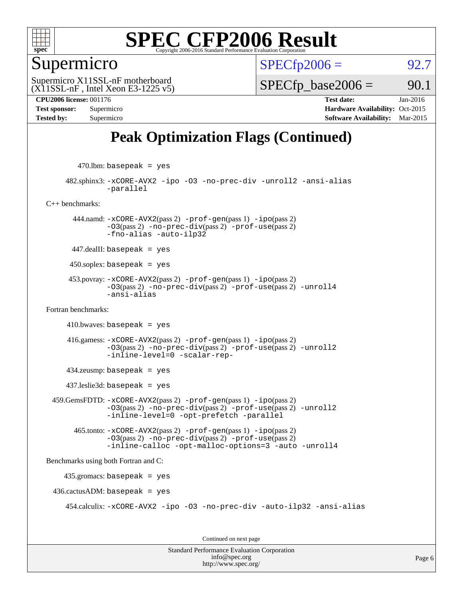

#### Supermicro

 $SPECTp2006 = 92.7$ 

 $(X11SSL-nF$ , Intel Xeon E3-1225 v5) Supermicro X11SSL-nF motherboard

 $SPECTp\_base2006 = 90.1$ 

**[CPU2006 license:](http://www.spec.org/auto/cpu2006/Docs/result-fields.html#CPU2006license)** 001176 **[Test date:](http://www.spec.org/auto/cpu2006/Docs/result-fields.html#Testdate)** Jan-2016 **[Test sponsor:](http://www.spec.org/auto/cpu2006/Docs/result-fields.html#Testsponsor)** Supermicro Supermicro **[Hardware Availability:](http://www.spec.org/auto/cpu2006/Docs/result-fields.html#HardwareAvailability)** Oct-2015 **[Tested by:](http://www.spec.org/auto/cpu2006/Docs/result-fields.html#Testedby)** Supermicro **[Software Availability:](http://www.spec.org/auto/cpu2006/Docs/result-fields.html#SoftwareAvailability)** Mar-2015

#### **[Peak Optimization Flags \(Continued\)](http://www.spec.org/auto/cpu2006/Docs/result-fields.html#PeakOptimizationFlags)**

 $470$ .lbm: basepeak = yes

 482.sphinx3: [-xCORE-AVX2](http://www.spec.org/cpu2006/results/res2016q1/cpu2006-20160120-38723.flags.html#user_peakOPTIMIZE482_sphinx3_f-xAVX2_5f5fc0cbe2c9f62c816d3e45806c70d7) [-ipo](http://www.spec.org/cpu2006/results/res2016q1/cpu2006-20160120-38723.flags.html#user_peakOPTIMIZE482_sphinx3_f-ipo) [-O3](http://www.spec.org/cpu2006/results/res2016q1/cpu2006-20160120-38723.flags.html#user_peakOPTIMIZE482_sphinx3_f-O3) [-no-prec-div](http://www.spec.org/cpu2006/results/res2016q1/cpu2006-20160120-38723.flags.html#user_peakOPTIMIZE482_sphinx3_f-no-prec-div) [-unroll2](http://www.spec.org/cpu2006/results/res2016q1/cpu2006-20160120-38723.flags.html#user_peakCOPTIMIZE482_sphinx3_f-unroll_784dae83bebfb236979b41d2422d7ec2) [-ansi-alias](http://www.spec.org/cpu2006/results/res2016q1/cpu2006-20160120-38723.flags.html#user_peakCOPTIMIZE482_sphinx3_f-ansi-alias) [-parallel](http://www.spec.org/cpu2006/results/res2016q1/cpu2006-20160120-38723.flags.html#user_peakCOPTIMIZE482_sphinx3_f-parallel)

[C++ benchmarks:](http://www.spec.org/auto/cpu2006/Docs/result-fields.html#CXXbenchmarks)

 444.namd: [-xCORE-AVX2](http://www.spec.org/cpu2006/results/res2016q1/cpu2006-20160120-38723.flags.html#user_peakPASS2_CXXFLAGSPASS2_LDFLAGS444_namd_f-xAVX2_5f5fc0cbe2c9f62c816d3e45806c70d7)(pass 2) [-prof-gen](http://www.spec.org/cpu2006/results/res2016q1/cpu2006-20160120-38723.flags.html#user_peakPASS1_CXXFLAGSPASS1_LDFLAGS444_namd_prof_gen_e43856698f6ca7b7e442dfd80e94a8fc)(pass 1) [-ipo](http://www.spec.org/cpu2006/results/res2016q1/cpu2006-20160120-38723.flags.html#user_peakPASS2_CXXFLAGSPASS2_LDFLAGS444_namd_f-ipo)(pass 2)  $-03$ (pass 2)  $-no-prec-div(pass 2)$  $-no-prec-div(pass 2)$   $-prof-use(pass 2)$  $-prof-use(pass 2)$ [-fno-alias](http://www.spec.org/cpu2006/results/res2016q1/cpu2006-20160120-38723.flags.html#user_peakCXXOPTIMIZEOPTIMIZE444_namd_f-no-alias_694e77f6c5a51e658e82ccff53a9e63a) [-auto-ilp32](http://www.spec.org/cpu2006/results/res2016q1/cpu2006-20160120-38723.flags.html#user_peakCXXOPTIMIZE444_namd_f-auto-ilp32)

447.dealII: basepeak = yes

 $450$ .soplex: basepeak = yes

 453.povray: [-xCORE-AVX2](http://www.spec.org/cpu2006/results/res2016q1/cpu2006-20160120-38723.flags.html#user_peakPASS2_CXXFLAGSPASS2_LDFLAGS453_povray_f-xAVX2_5f5fc0cbe2c9f62c816d3e45806c70d7)(pass 2) [-prof-gen](http://www.spec.org/cpu2006/results/res2016q1/cpu2006-20160120-38723.flags.html#user_peakPASS1_CXXFLAGSPASS1_LDFLAGS453_povray_prof_gen_e43856698f6ca7b7e442dfd80e94a8fc)(pass 1) [-ipo](http://www.spec.org/cpu2006/results/res2016q1/cpu2006-20160120-38723.flags.html#user_peakPASS2_CXXFLAGSPASS2_LDFLAGS453_povray_f-ipo)(pass 2) [-O3](http://www.spec.org/cpu2006/results/res2016q1/cpu2006-20160120-38723.flags.html#user_peakPASS2_CXXFLAGSPASS2_LDFLAGS453_povray_f-O3)(pass 2) [-no-prec-div](http://www.spec.org/cpu2006/results/res2016q1/cpu2006-20160120-38723.flags.html#user_peakPASS2_CXXFLAGSPASS2_LDFLAGS453_povray_f-no-prec-div)(pass 2) [-prof-use](http://www.spec.org/cpu2006/results/res2016q1/cpu2006-20160120-38723.flags.html#user_peakPASS2_CXXFLAGSPASS2_LDFLAGS453_povray_prof_use_bccf7792157ff70d64e32fe3e1250b55)(pass 2) [-unroll4](http://www.spec.org/cpu2006/results/res2016q1/cpu2006-20160120-38723.flags.html#user_peakCXXOPTIMIZE453_povray_f-unroll_4e5e4ed65b7fd20bdcd365bec371b81f) [-ansi-alias](http://www.spec.org/cpu2006/results/res2016q1/cpu2006-20160120-38723.flags.html#user_peakCXXOPTIMIZE453_povray_f-ansi-alias)

[Fortran benchmarks](http://www.spec.org/auto/cpu2006/Docs/result-fields.html#Fortranbenchmarks):

 $410.bwaves: basepeak = yes$ 

 416.gamess: [-xCORE-AVX2](http://www.spec.org/cpu2006/results/res2016q1/cpu2006-20160120-38723.flags.html#user_peakPASS2_FFLAGSPASS2_LDFLAGS416_gamess_f-xAVX2_5f5fc0cbe2c9f62c816d3e45806c70d7)(pass 2) [-prof-gen](http://www.spec.org/cpu2006/results/res2016q1/cpu2006-20160120-38723.flags.html#user_peakPASS1_FFLAGSPASS1_LDFLAGS416_gamess_prof_gen_e43856698f6ca7b7e442dfd80e94a8fc)(pass 1) [-ipo](http://www.spec.org/cpu2006/results/res2016q1/cpu2006-20160120-38723.flags.html#user_peakPASS2_FFLAGSPASS2_LDFLAGS416_gamess_f-ipo)(pass 2) [-O3](http://www.spec.org/cpu2006/results/res2016q1/cpu2006-20160120-38723.flags.html#user_peakPASS2_FFLAGSPASS2_LDFLAGS416_gamess_f-O3)(pass 2) [-no-prec-div](http://www.spec.org/cpu2006/results/res2016q1/cpu2006-20160120-38723.flags.html#user_peakPASS2_FFLAGSPASS2_LDFLAGS416_gamess_f-no-prec-div)(pass 2) [-prof-use](http://www.spec.org/cpu2006/results/res2016q1/cpu2006-20160120-38723.flags.html#user_peakPASS2_FFLAGSPASS2_LDFLAGS416_gamess_prof_use_bccf7792157ff70d64e32fe3e1250b55)(pass 2) [-unroll2](http://www.spec.org/cpu2006/results/res2016q1/cpu2006-20160120-38723.flags.html#user_peakOPTIMIZE416_gamess_f-unroll_784dae83bebfb236979b41d2422d7ec2) [-inline-level=0](http://www.spec.org/cpu2006/results/res2016q1/cpu2006-20160120-38723.flags.html#user_peakOPTIMIZE416_gamess_f-inline-level_318d07a09274ad25e8d15dbfaa68ba50) [-scalar-rep-](http://www.spec.org/cpu2006/results/res2016q1/cpu2006-20160120-38723.flags.html#user_peakOPTIMIZE416_gamess_f-disablescalarrep_abbcad04450fb118e4809c81d83c8a1d)

434.zeusmp: basepeak = yes

437.leslie3d: basepeak = yes

 459.GemsFDTD: [-xCORE-AVX2](http://www.spec.org/cpu2006/results/res2016q1/cpu2006-20160120-38723.flags.html#user_peakPASS2_FFLAGSPASS2_LDFLAGS459_GemsFDTD_f-xAVX2_5f5fc0cbe2c9f62c816d3e45806c70d7)(pass 2) [-prof-gen](http://www.spec.org/cpu2006/results/res2016q1/cpu2006-20160120-38723.flags.html#user_peakPASS1_FFLAGSPASS1_LDFLAGS459_GemsFDTD_prof_gen_e43856698f6ca7b7e442dfd80e94a8fc)(pass 1) [-ipo](http://www.spec.org/cpu2006/results/res2016q1/cpu2006-20160120-38723.flags.html#user_peakPASS2_FFLAGSPASS2_LDFLAGS459_GemsFDTD_f-ipo)(pass 2) [-O3](http://www.spec.org/cpu2006/results/res2016q1/cpu2006-20160120-38723.flags.html#user_peakPASS2_FFLAGSPASS2_LDFLAGS459_GemsFDTD_f-O3)(pass 2) [-no-prec-div](http://www.spec.org/cpu2006/results/res2016q1/cpu2006-20160120-38723.flags.html#user_peakPASS2_FFLAGSPASS2_LDFLAGS459_GemsFDTD_f-no-prec-div)(pass 2) [-prof-use](http://www.spec.org/cpu2006/results/res2016q1/cpu2006-20160120-38723.flags.html#user_peakPASS2_FFLAGSPASS2_LDFLAGS459_GemsFDTD_prof_use_bccf7792157ff70d64e32fe3e1250b55)(pass 2) [-unroll2](http://www.spec.org/cpu2006/results/res2016q1/cpu2006-20160120-38723.flags.html#user_peakOPTIMIZE459_GemsFDTD_f-unroll_784dae83bebfb236979b41d2422d7ec2) [-inline-level=0](http://www.spec.org/cpu2006/results/res2016q1/cpu2006-20160120-38723.flags.html#user_peakOPTIMIZE459_GemsFDTD_f-inline-level_318d07a09274ad25e8d15dbfaa68ba50) [-opt-prefetch](http://www.spec.org/cpu2006/results/res2016q1/cpu2006-20160120-38723.flags.html#user_peakOPTIMIZE459_GemsFDTD_f-opt-prefetch) [-parallel](http://www.spec.org/cpu2006/results/res2016q1/cpu2006-20160120-38723.flags.html#user_peakOPTIMIZE459_GemsFDTD_f-parallel)

 465.tonto: [-xCORE-AVX2](http://www.spec.org/cpu2006/results/res2016q1/cpu2006-20160120-38723.flags.html#user_peakPASS2_FFLAGSPASS2_LDFLAGS465_tonto_f-xAVX2_5f5fc0cbe2c9f62c816d3e45806c70d7)(pass 2) [-prof-gen](http://www.spec.org/cpu2006/results/res2016q1/cpu2006-20160120-38723.flags.html#user_peakPASS1_FFLAGSPASS1_LDFLAGS465_tonto_prof_gen_e43856698f6ca7b7e442dfd80e94a8fc)(pass 1) [-ipo](http://www.spec.org/cpu2006/results/res2016q1/cpu2006-20160120-38723.flags.html#user_peakPASS2_FFLAGSPASS2_LDFLAGS465_tonto_f-ipo)(pass 2) [-O3](http://www.spec.org/cpu2006/results/res2016q1/cpu2006-20160120-38723.flags.html#user_peakPASS2_FFLAGSPASS2_LDFLAGS465_tonto_f-O3)(pass 2) [-no-prec-div](http://www.spec.org/cpu2006/results/res2016q1/cpu2006-20160120-38723.flags.html#user_peakPASS2_FFLAGSPASS2_LDFLAGS465_tonto_f-no-prec-div)(pass 2) [-prof-use](http://www.spec.org/cpu2006/results/res2016q1/cpu2006-20160120-38723.flags.html#user_peakPASS2_FFLAGSPASS2_LDFLAGS465_tonto_prof_use_bccf7792157ff70d64e32fe3e1250b55)(pass 2) [-inline-calloc](http://www.spec.org/cpu2006/results/res2016q1/cpu2006-20160120-38723.flags.html#user_peakOPTIMIZE465_tonto_f-inline-calloc) [-opt-malloc-options=3](http://www.spec.org/cpu2006/results/res2016q1/cpu2006-20160120-38723.flags.html#user_peakOPTIMIZE465_tonto_f-opt-malloc-options_13ab9b803cf986b4ee62f0a5998c2238) [-auto](http://www.spec.org/cpu2006/results/res2016q1/cpu2006-20160120-38723.flags.html#user_peakOPTIMIZE465_tonto_f-auto) [-unroll4](http://www.spec.org/cpu2006/results/res2016q1/cpu2006-20160120-38723.flags.html#user_peakOPTIMIZE465_tonto_f-unroll_4e5e4ed65b7fd20bdcd365bec371b81f)

[Benchmarks using both Fortran and C](http://www.spec.org/auto/cpu2006/Docs/result-fields.html#BenchmarksusingbothFortranandC):

435.gromacs: basepeak = yes

 $436.cactusADM: basepeak = yes$ 

454.calculix: [-xCORE-AVX2](http://www.spec.org/cpu2006/results/res2016q1/cpu2006-20160120-38723.flags.html#user_peakOPTIMIZE454_calculix_f-xAVX2_5f5fc0cbe2c9f62c816d3e45806c70d7) [-ipo](http://www.spec.org/cpu2006/results/res2016q1/cpu2006-20160120-38723.flags.html#user_peakOPTIMIZE454_calculix_f-ipo) [-O3](http://www.spec.org/cpu2006/results/res2016q1/cpu2006-20160120-38723.flags.html#user_peakOPTIMIZE454_calculix_f-O3) [-no-prec-div](http://www.spec.org/cpu2006/results/res2016q1/cpu2006-20160120-38723.flags.html#user_peakOPTIMIZE454_calculix_f-no-prec-div) [-auto-ilp32](http://www.spec.org/cpu2006/results/res2016q1/cpu2006-20160120-38723.flags.html#user_peakCOPTIMIZE454_calculix_f-auto-ilp32) [-ansi-alias](http://www.spec.org/cpu2006/results/res2016q1/cpu2006-20160120-38723.flags.html#user_peakCOPTIMIZE454_calculix_f-ansi-alias)

Continued on next page